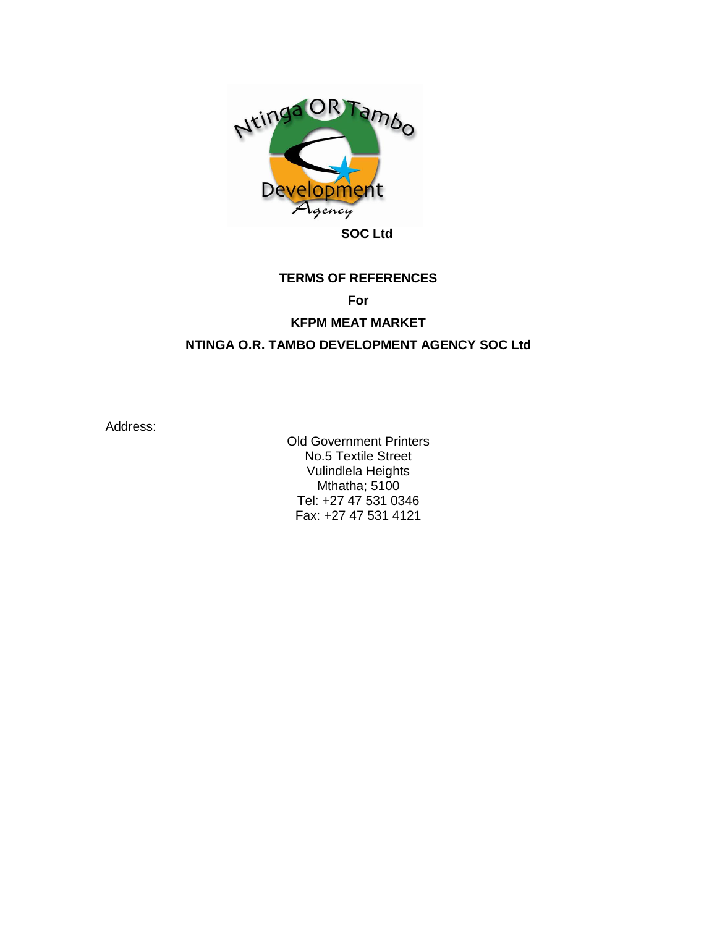

# **TERMS OF REFERENCES**

# **For**

## **KFPM MEAT MARKET**

# **NTINGA O.R. TAMBO DEVELOPMENT AGENCY SOC Ltd**

Address:

Old Government Printers No.5 Textile Street Vulindlela Heights Mthatha; 5100 Tel: +27 47 531 0346 Fax: +27 47 531 4121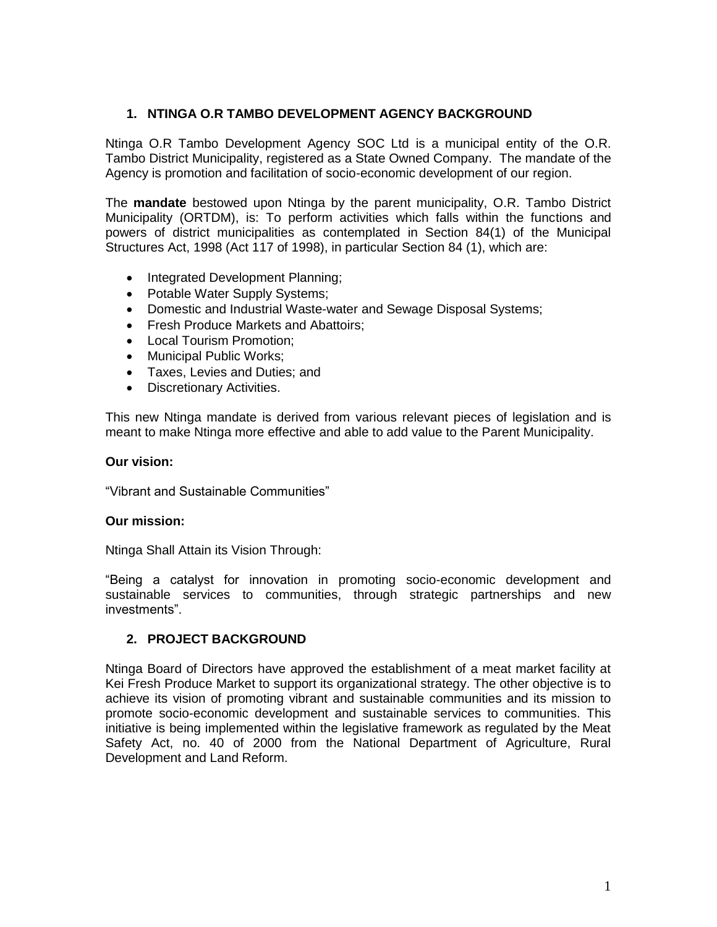## **1. NTINGA O.R TAMBO DEVELOPMENT AGENCY BACKGROUND**

Ntinga O.R Tambo Development Agency SOC Ltd is a municipal entity of the O.R. Tambo District Municipality, registered as a State Owned Company. The mandate of the Agency is promotion and facilitation of socio-economic development of our region.

The **mandate** bestowed upon Ntinga by the parent municipality, O.R. Tambo District Municipality (ORTDM), is: To perform activities which falls within the functions and powers of district municipalities as contemplated in Section 84(1) of the Municipal Structures Act, 1998 (Act 117 of 1998), in particular Section 84 (1), which are:

- Integrated Development Planning;
- Potable Water Supply Systems;
- Domestic and Industrial Waste-water and Sewage Disposal Systems;
- Fresh Produce Markets and Abattoirs;
- Local Tourism Promotion;
- Municipal Public Works:
- Taxes, Levies and Duties; and
- Discretionary Activities.

This new Ntinga mandate is derived from various relevant pieces of legislation and is meant to make Ntinga more effective and able to add value to the Parent Municipality.

## **Our vision:**

"Vibrant and Sustainable Communities"

## **Our mission:**

Ntinga Shall Attain its Vision Through:

"Being a catalyst for innovation in promoting socio-economic development and sustainable services to communities, through strategic partnerships and new investments".

## **2. PROJECT BACKGROUND**

Ntinga Board of Directors have approved the establishment of a meat market facility at Kei Fresh Produce Market to support its organizational strategy. The other objective is to achieve its vision of promoting vibrant and sustainable communities and its mission to promote socio-economic development and sustainable services to communities. This initiative is being implemented within the legislative framework as regulated by the Meat Safety Act, no. 40 of 2000 from the National Department of Agriculture, Rural Development and Land Reform.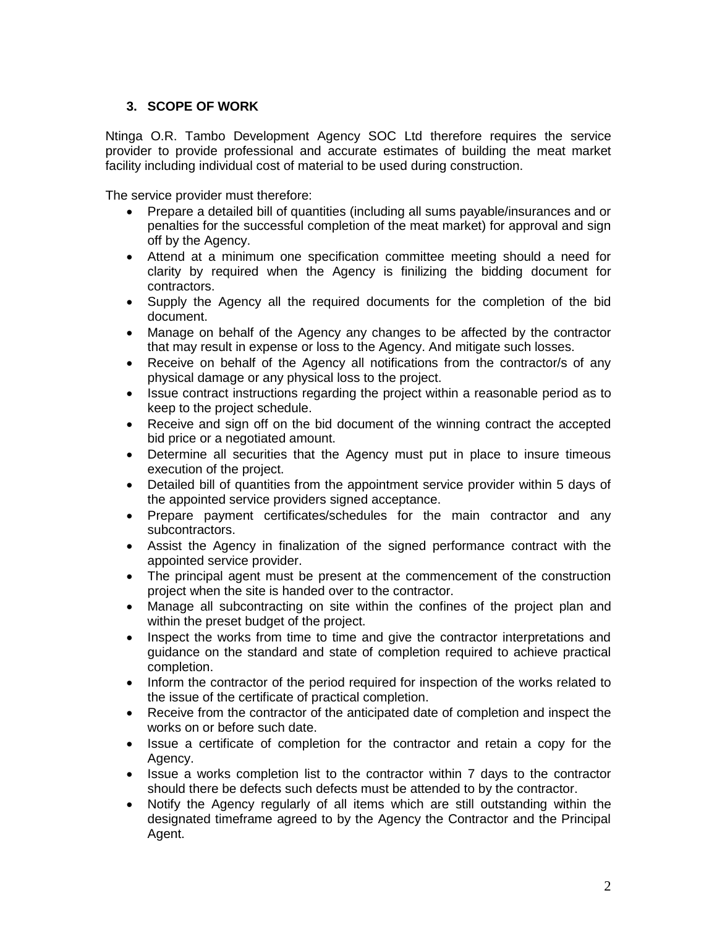## **3. SCOPE OF WORK**

Ntinga O.R. Tambo Development Agency SOC Ltd therefore requires the service provider to provide professional and accurate estimates of building the meat market facility including individual cost of material to be used during construction.

The service provider must therefore:

- Prepare a detailed bill of quantities (including all sums payable/insurances and or penalties for the successful completion of the meat market) for approval and sign off by the Agency.
- Attend at a minimum one specification committee meeting should a need for clarity by required when the Agency is finilizing the bidding document for contractors.
- Supply the Agency all the required documents for the completion of the bid document.
- Manage on behalf of the Agency any changes to be affected by the contractor that may result in expense or loss to the Agency. And mitigate such losses.
- Receive on behalf of the Agency all notifications from the contractor/s of any physical damage or any physical loss to the project.
- Issue contract instructions regarding the project within a reasonable period as to keep to the project schedule.
- Receive and sign off on the bid document of the winning contract the accepted bid price or a negotiated amount.
- Determine all securities that the Agency must put in place to insure timeous execution of the project.
- Detailed bill of quantities from the appointment service provider within 5 days of the appointed service providers signed acceptance.
- Prepare payment certificates/schedules for the main contractor and any subcontractors.
- Assist the Agency in finalization of the signed performance contract with the appointed service provider.
- The principal agent must be present at the commencement of the construction project when the site is handed over to the contractor.
- Manage all subcontracting on site within the confines of the project plan and within the preset budget of the project.
- Inspect the works from time to time and give the contractor interpretations and guidance on the standard and state of completion required to achieve practical completion.
- Inform the contractor of the period required for inspection of the works related to the issue of the certificate of practical completion.
- Receive from the contractor of the anticipated date of completion and inspect the works on or before such date.
- Issue a certificate of completion for the contractor and retain a copy for the Agency.
- Issue a works completion list to the contractor within 7 days to the contractor should there be defects such defects must be attended to by the contractor.
- Notify the Agency regularly of all items which are still outstanding within the designated timeframe agreed to by the Agency the Contractor and the Principal Agent.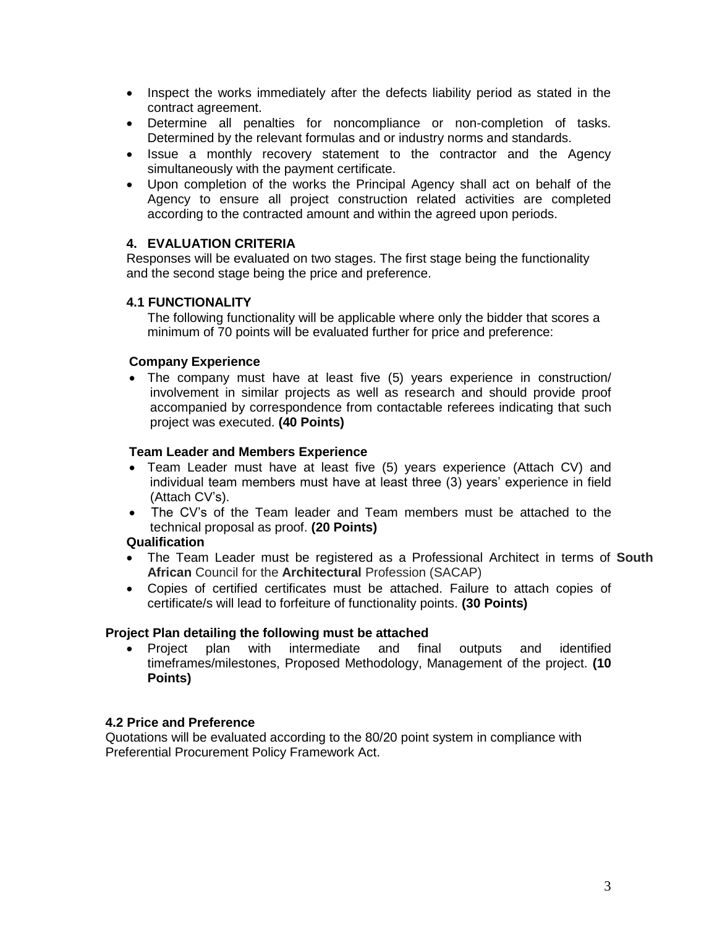- Inspect the works immediately after the defects liability period as stated in the contract agreement.
- Determine all penalties for noncompliance or non-completion of tasks. Determined by the relevant formulas and or industry norms and standards.
- Issue a monthly recovery statement to the contractor and the Agency simultaneously with the payment certificate.
- Upon completion of the works the Principal Agency shall act on behalf of the Agency to ensure all project construction related activities are completed according to the contracted amount and within the agreed upon periods.

## **4. EVALUATION CRITERIA**

Responses will be evaluated on two stages. The first stage being the functionality and the second stage being the price and preference.

## **4.1 FUNCTIONALITY**

The following functionality will be applicable where only the bidder that scores a minimum of 70 points will be evaluated further for price and preference:

## **Company Experience**

• The company must have at least five (5) years experience in construction/ involvement in similar projects as well as research and should provide proof accompanied by correspondence from contactable referees indicating that such project was executed. **(40 Points)**

#### **Team Leader and Members Experience**

- Team Leader must have at least five (5) years experience (Attach CV) and individual team members must have at least three (3) years' experience in field (Attach CV's).
- The CV's of the Team leader and Team members must be attached to the technical proposal as proof. **(20 Points)**

#### **Qualification**

- The Team Leader must be registered as a Professional Architect in terms of **South African** Council for the **Architectural** Profession (SACAP)
- Copies of certified certificates must be attached. Failure to attach copies of certificate/s will lead to forfeiture of functionality points. **(30 Points)**

#### **Project Plan detailing the following must be attached**

• Project plan with intermediate and final outputs and identified timeframes/milestones, Proposed Methodology, Management of the project. **(10 Points)**

## **4.2 Price and Preference**

Quotations will be evaluated according to the 80/20 point system in compliance with Preferential Procurement Policy Framework Act.